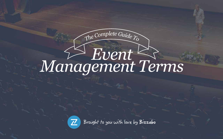### *Event Management Terms*

*<sup>T</sup>h<sup>e</sup> <sup>C</sup>omplet<sup>e</sup> <sup>G</sup>uid<sup>e</sup> <sup>T</sup><sup>o</sup>*



Brought to you with love by Bizzabo

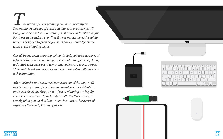



*Depending on the type of event you intend to organize, you'll likely come across terms or acronyms that are unfamiliar to you. For those in the industry, or first time event planners, this white paper is designed to provide you with basic knowledge on the latest event planning terms.* 

*Our all in one event planning primer is designed to be a source of reference for you throughout your event planning journey. First, we'll start with basic event terms that you're sure to run across. Then, we'll break down some key terms associated with the event tech community.* 

*After the basics and event tech terms are out of the way, we'll tackle the key areas of event management, event registration and event check-in. These areas of event planning are key for every event organizer to be familiar with. We'll break down exactly what you need to know when it comes to those critical aspects of the event planning process.*





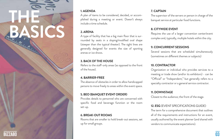

#### **1. AGENDA**

A plan of items to be considered, decided, or accomplished during a meeting or event. Doesn't always include a time schedule.

#### **2. ARENA**

Refers to the staff-only areas (as opposed to the front of the house).

A type of facility that has a big main floor that is surrounded by seats in a sloping/modified oval shape (steeper than the typical theater). The sight lines are generally designed for events the size of sporting arenas or ice shows.

#### **3. BACK OF THE HOUSE**

#### **4. BARRIER-FREE**

The absence of obstacles in order to allow handicapped persons to move freely to areas within the event space. Several sessions that are scheduled simultaneously (sometimes on different themes or subjects)

### **5. BEO (BANQUET EVENT ORDER)**

Provides details to personnel who are concerned with specific food and beverage function or the room set-up.

#### **6. BREAK-OUT ROOMS**

Rooms that are smaller to hold break-out sessions, set up for small groups.

#### **7. CAPTAIN**

The supervisor of the servers or person in charge of the banquet service at particular food functions.

#### **8. CITYWIDE EVENT**

Requires the use of a larger convention center/event complex and, typically, multiple hotels within the city.

#### **9. CONCURRENT SESSIONS**

#### **10. CONTRACTOR**

Organization or individual who provides services to a meeting or trade show (and/or its exhibitors) - can be "Official" or "Independent," but generally refers to a specialty contractor or a general service contractor.

#### **11. DOWNSTAGE**

Closest to the audience; the front of the stage.

#### **12. ESG** (EVENT SPECIFICATIONS GUIDE)

The term for a comprehensive document that outlines all of the requirements and instructions for an event, usually authored by the event planner (and shared with vendors to communicate expectations).

**THE**

**Batalog 2014**<br>Batalog Batalog Linder Linder Contraction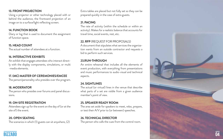

#### **13. FRONT PROJECTION**

Using a projector or other technology placed with or behind the audience, the frontward projection of an image on to a surface/light reflecting screen.

#### **14. FUNCTION BOOK**

Diary or log that is used to document the assignment of function space.

#### **15. HEAD COUNT**

The actual number of attendees at a function.

#### **16. INTERACTIVE EXHIBITS**

An exhibit that engages attendees who interact direct ly with the display components, simulations, or multi -media elements.

#### **17. (MC) MASTER OF CEREMONIES/EMCEE**

The person/personality who presides over the program.

#### **18. MODERATOR**

The person who presides over forums and panel discus sions.

#### **19. ON-SITE REGISTRATION**

Attendees sign up for the event on the day of (or at the site of) the event.

#### **20. OPEN SEATING**

The scenarios in which (1) guests can sit anywhere, (2)

Extra tables are placed but not fully set so they can be prepared quickly in the case of extra guests.

#### **21. PACING**

The rate of activity (within the schedule or within an activity). Makes for a realistic balance that accounts for travel time, social events, rest, etc.

#### **22. RFP** (REQUEST FOR PROPOSALS)

A document that stipulates what services the organiza tion wants from an outside contractor and requests a bid to perform such services.

#### **23.RUN-THROUGH**

An entire rehearsal that includes all the elements of event production, with everything from presentations and music performances to audio-visual and technical aspects.

#### **24. SIGHTLINES**

The actual (or virtual) lines in the venue that describe what parts of a set are visible from a given audience member's point of view.

#### **25. SPEAKER READY ROOM**

The area set aside for speakers to meet, relax, prepare, or test their A/V prior to (or between) speeches.

#### **26. TECHNICAL DIRECTOR**

The person who calls the cues from the control room.

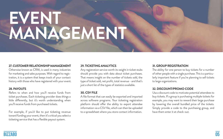



#### **27. CUSTOMER RELATIONSHIP MANAGEMENT**

Otherwise known as CRM, is used in many industries for marketing and sales purposes. With regard to registration, it is a system that keeps track of your contact history with those who have registered with your event.

#### **28. PAYOUTS**

Any registration service worth its weight in ticket stubs should provide you with data about ticket purchases. That means insight on the number of tickets sold, the type of ticket sold, net profit, total revenue - and that's just a short list of the types of statistics available.

Refers to when and how you'll receive funds from ticket purchases. Each ticketing provider does things a little differently, but it's worth understanding when you'll receive funds from purchased tickets.

For example, if you'd like to put ticketing revenue toward funding your event, then it's critical you select a ticketing service that has a flexible payout system.

#### **29. TICKETING ANALYTICS**

#### **30. CSV FILE**

A file format that can easily be exported and imported across software programs. Your ticketing registration platform should offer the ability to export attendee information via a CSV file, which can then be uploaded to a spreadsheet where you store contact information.

**31. GROUP REGISTRATION** The ability for one person to buy tickets for a number of other people with a single purchase. This is a particularly important feature if you're planning to sell tickets to large organizations.

#### **32. DISCOUNT/PROMO CODE**

Usa a discount code to motivate potential attendees to buy tickets. If a group is purchasing multiple tickets for example, you may want to reward their large purchase by lowering the overall bundled price of the tickets. Simply provide a code to the purchasing group, and have them enter it at check-out.

### **EVENT MANAGEMENT**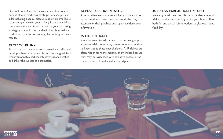

Discount codes Can also be used as an effective component of your marketing strategy. For example, consider including a special discount code in an email blast to encourage those on your mailing list to buy a ticket. If you use a unique discount code for your marketing strategy, you should then be able to track how well your marketing initiative is working by looking at sales results.

A URL that can be monitored to see where traffic and ticket purchases are coming from. This is a great tool when you want to chart the effectiveness of an embedded link or the success of a promotion.

#### **33. TRACKING LINK**

#### **34. POST-PURCHASE MESSAGE**

After an attendee purchases a ticket, you'll want to set up an email workflow. Send an email thanking the attendee for their purchase and supply additional event information.

#### **35. HIDDEN TICKET**

You may want to sell tickets to a certain group of attendees while not wanting the rest of your attendees to know about these special tickets. VIP tickets are often hidden from the majority of attendees because they may be associated with exclusive access, or because they are offered at a discounted price.

#### **36. FULL VS. PARTIAL TICKET REFUND**

Inevitably you'll need to offer an attendee a refund. Make sure that the ticketing service you choose offers both full and partial refund options to give you added flexibility.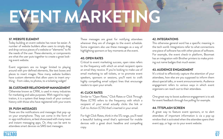# **EVENT MARKETING**

**Bizzabo 07**



#### **37. WEBSITE ELEMENT**

Today building an event website has never be easier. A number of website builders allow users to simply drag and drop various pieces of a website or "elements" to fit the needs of the user. These elements, or components are what the user puts together to create a great looking event website.

Event organizers are no longer limited to playing around with pre-defined elements, like text boxes and places to insert images. Now many website builders have custom elements that allow users to insert anything - from video, to photos, to a ticketing widget!

#### **38. CUSTOMER RELATIONSHIP MANAGEMENT**

Otherwise known as CRM, is used in many industries for marketing and sales purposes. With regard to registration, it is a system that keeps track of your contact history with those who have registered with your event.

#### **39. PUSH MESSAGES**

These are the notifications and messages that pop-up on your smartphone. They can come in the form of in-app notifications, as best showcased with many news and instant messaging apps. Or, they can be sent to attendees smart devices via SMS text messages.

These messages are great for notifying attendees wherever they are of changes to the event schedule. Some organizers also use these messages as a way of highlighting sponsors or key moments at the event.

#### **40. OPEN RATES**

It's critical to effectively capture the attention of your attendees, how else are you supposed to inform them about special talks, or event announcements. Audience engagement refers to various ways in which event organizers can reach out to their attendees.

Critical to event marketing success, open rates refers to the frequency with which an email recipient opens an email they receive. If you're looking to make use of email marketing to sell tickets, or to promote event speakers, sponsors or sessions, you'll want to craft highly compelling email subject lines that encourage readers to open your emails.

#### **41. CLICK RATES**

Similar to "Open Rates," Click Rates or Click Through Rates (CTR) refers to the frequency with which a recipient of your email actually clicks the link or Call-to-Action (CTA) that's inserted in your email.

For high Click Rates, think in the 5% range, you'll need a beautiful looking email that's optimized for mobile devices with a great short headline and compelling copy.

#### **42. INTEGRATIONS**

This otherwise general word has a specific meaning in the tech world. Integrations refer to what connections one piece of software has with other pieces of software. For example, the event check-in platform, Boomset has an integration with Brother printers to make printing out name badges that much easier.

#### **43. AUDIENCE ENGAGEMENT**

One great way to boost audience engagement is to ask for event feedback through live polling for example.

#### **44. TTTSPLASH SCREEN**

A great way to feature event sponsors, or to alert attendees of important information is via a pop-up window that is activated when the attendee opens their event app, or logs-on to your event website.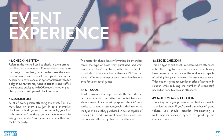#### **45. CHECK-IN SYSTEM**

Refers to the method used to check-in event attendees. There are a number of different solutions out there that range in complexity based on the size of the event. In some cases, like for small meetups, it may not be necessary to have a check-in system. Alternatively, for a bigger event, you may want to station event staff at the entrance equipped with QR readers. Another popular option is to set up a self check-in station.

#### **46. MASTER LIST**

Also known as a quick response code, this barcode carries data based on the pattern of printed black and white squares. For check-in purposes, the QR code carries data about an attendee, such as their name and the type of ticket they purchased. A device capable of reading a QR code, like most smartphones, can scan the code and effortlessly check-in the attendee.

A list of every person attending the event. This is a must have on event day, just in case alternative check-in methods go awry. If for example, your QR code reader isn't working, you can always resort to asking for attendees' last names and check them off the list manually.

The master list should have information like attendees name, the type of ticket they purchased, and what organization they're affiliated with. The master list should also indicate which attendees are VIPs so that event staff make sure to provide an exceptional experience for your special guests.

#### **47. QR CODE**

#### **48. KIOSK CHECK-IN**

This is a type of self check-in system where attendees enter their registration information at a stationary kiosk. In many circumstances, the kiosk is also capable of printing badges or bracelets for attendees to wear. This solution is great because it can offer a fast check-in solution while reducing the number of event staff needed on hand to check-in attendees. **49. MULTI-MEMBER CHECK-IN**

The ability for a group member to check-in multiple attendees at once. If you've sold a number of group tickets, you should consider implementing a multi-member check-in system to speed up the check-in process.

# **EVENT EXPERIENCE**



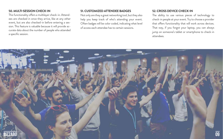

#### **50. MULTI-SESSION CHECK-IN**

This functionality offers a multilayer check-in. Attendees are checked in once they arrive, like at any other event, but are also checked-in before entering a session. This feature is valuable because it will provide accurate data about the number of people who attended a specific session.

#### **51. CUSTOMIZED ATTENDEE BADGES**

Not only are they a great networking tool, but they also help you keep track of who's attending your event. Often badges will be color coded, indicating what level of access each attendee has to certain sessions.

#### **52. CROSS DEVICE CHECK-IN**

The ability to use various pieces of technology to check-in people at your event. Try to choose a provider that offers functionality that will work across devices. That way, if you forgot your laptop, you can always jump on someone's tablet or smartphone to check-in attendees.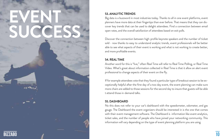#### **53. ANALYTIC TRENDS**

Big data is a buzzword in most industries today. Thanks to all in one event platforms, event planners have more data at their fingertips than ever before. That means that they can discover key trends that can be used to delight attendees. Find a connection between email open rates, and the overall satisfaction of attendees based on exit polls.

Discover the connection between high-profile keynote speakers and the number of ticket sold - now thanks to easy to understand analytic trends, event professionals will be better able to see what aspects of their event is working and what is not working to create better, and more profitable events.

#### **54. REAL TIME**

Another word for this is "live," often Real Time will refer to Real Time Polling, or Real Time Video. What's great about information collected in Real Time is that it allow an alert event professional to change aspects of their event on the fly.

If for example attendees vote that they found a particular type of breakout session to be exceptionally helpful after the first day of a two day event, the event planning can make sure more chairs are added to those sessions for the second day to insure that guests will be able t attend those in-demand talks.

#### **55. DASHBOARD**

No this does not refer to your car's dashboard with the speedometer, odometer, and gas gauge. The Dashboard the event organizers should be interested in is the one that comes with their event management software. The Dashboard is information like event analytics, ticket sales, and the number of people who have joined your networking community. This information will vary depending on the type of event planning platform you are using.

### **EVENT SUCCESS**

### **Bizzabo 10**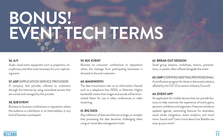



## **BONUS! EVENT TECH TERMS**

#### **56. A/V**

Audio visual event equipment such as projectors, microphones, and other tools necessary for your captivating event.

#### **57. ASP** (APPLICATION SERVICE PROVIDER)

A company that provides software to customers through the Internet by using centralized servers that are owned and managed by the provider.

#### **58. B2B EVENT**

Business to business conferences or expositions where the audience is a distributor or an intermediate, or any kind of business counterpart.

#### **59. B2C EVENT**

Small group sessions, workshops, lessons, presentations, or panels, often offered alongside the event.

Business to consumer conferences or expositions where the message from participating businesses is directed to the end customers.

**63. CMP** (CERTIFIED MEETING PROFESSIONAL) A certification program for those in the events industry offered by the CIC (Convention Industry Council)

#### **60. BANDWIDTH**

The data transmission rate on an information channel such as a telephone line, ISDN, or Ethernet. Higher bandwidth means that images and sounds will be transmitted faster for use in video conferences or video streaming.

#### **61. BIG DATA**

Any collection of data sets that are so large, or complex that processing the data becomes challenging when using on-hand data management tools.

#### **62. BREAK-OUT SESSION**

#### **64. EVENT APP**

An application for mobile devices that can provide features to help maximize the experience of event goers, sponsors, exhibitors and organizers. Features include an updated agenda, networking features for attendees, social media integration, event analytics, and much more. Sound cool? Learn more about how Bizzabo can amp up your event!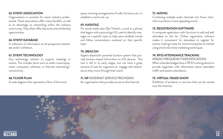



#### **65. EVENT ASSOCIATION**

Organizations or societies for event industry professionals. These associations offer many benefits, as well as an advantage on networking within the industry community. They often offer discounts and scholarship opportunities.

#### **66. EVENT DATABASE**

A collection of information on all prospective attendees and/or exhibitors.

#### **67. EVENT TECHNOLOGY**

Any technology solution to support meetings or events. This includes items such as audio-visual equipment, computers, software, or Internet networking/ connectivity.

#### **68. FLOOR PLAN**

A scale diagram that represents a floor of the event

space, showing arrangements of walls, furniture, etc. to establish a room's set-up

#### **69. HASHTAG**

For social media sites (like Twitter), a word or a phrase that begins with a pound sign (#), used to identify messages on a specific topic to help users establish trends and follow conversations centered on that specific topic.

> (RADIO FREQUENCY IDENTIFICATION) When attendee badges have a RFID tracking device to provide organizers with information about attendees traffic and session attendance

#### **70. IBEACON**

Apple's bluetooth-powered location system that provide location-based information to iOS devices. This tool is still in its early stages, but can have a great amount of uses for organizers to engage with attendees as they move through their event.

#### **71. ISP** (INTERNET SERVICE PROVIDER)

An organization that provides access to the Internet.

#### **72. MIXING**

Combining multiple audio channels into fewer channels to produce a more appealing sound.

#### **73. REGISTRATION SOFTWARE**

A computer application with functions to add and edit attendees to the list. Online registration software makes it convenient for attendees to register for events, making it easy for events/companies to market using email and online marketing techniques.

#### **74. RFID ATTENDANCE TRACKING**

#### **75. VIRTUAL TRADE SHOW**

Exhibition of products or services that can be viewed over the Internet.